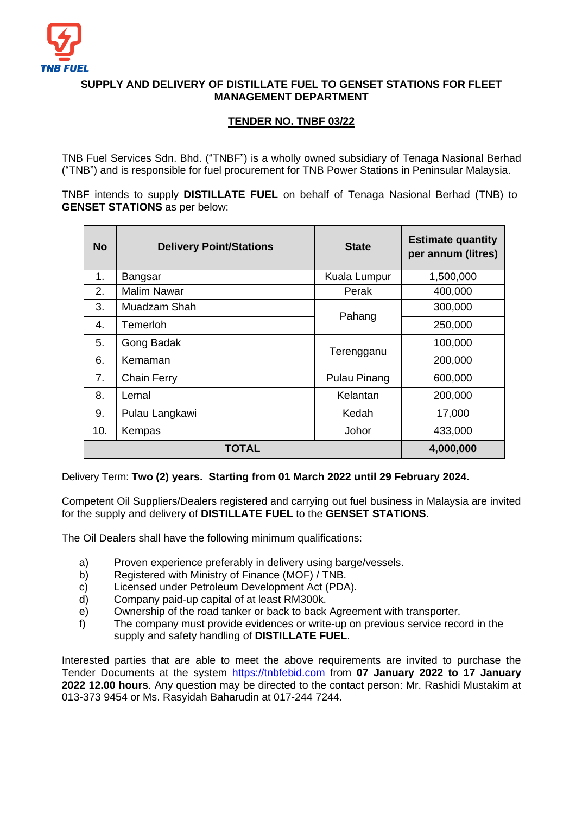

## **SUPPLY AND DELIVERY OF DISTILLATE FUEL TO GENSET STATIONS FOR FLEET MANAGEMENT DEPARTMENT**

## **TENDER NO. TNBF 03/22**

TNB Fuel Services Sdn. Bhd. ("TNBF") is a wholly owned subsidiary of Tenaga Nasional Berhad ("TNB") and is responsible for fuel procurement for TNB Power Stations in Peninsular Malaysia.

TNBF intends to supply **DISTILLATE FUEL** on behalf of Tenaga Nasional Berhad (TNB) to **GENSET STATIONS** as per below:

| <b>No</b> | <b>Delivery Point/Stations</b>         | <b>State</b> | <b>Estimate quantity</b><br>per annum (litres) |
|-----------|----------------------------------------|--------------|------------------------------------------------|
| 1.        | Bangsar                                | Kuala Lumpur | 1,500,000                                      |
| 2.        | <b>Malim Nawar</b><br>400,000<br>Perak |              |                                                |
| 3.        | Muadzam Shah                           | Pahang       | 300,000                                        |
| 4.        | Temerloh                               |              | 250,000                                        |
| 5.        | Gong Badak                             |              | 100,000                                        |
| 6.        | Kemaman                                | Terengganu   | 200,000                                        |
| 7.        | <b>Chain Ferry</b><br>Pulau Pinang     |              | 600,000                                        |
| 8.        | Kelantan<br>Lemal                      |              | 200,000                                        |
| 9.        | Kedah<br>Pulau Langkawi                |              | 17,000                                         |
| 10.       | Kempas                                 | Johor        | 433,000                                        |
|           | TOTAL                                  | 4,000,000    |                                                |

Delivery Term: **Two (2) years. Starting from 01 March 2022 until 29 February 2024.**

Competent Oil Suppliers/Dealers registered and carrying out fuel business in Malaysia are invited for the supply and delivery of **DISTILLATE FUEL** to the **GENSET STATIONS.**

The Oil Dealers shall have the following minimum qualifications:

- a) Proven experience preferably in delivery using barge/vessels.
- b) Registered with Ministry of Finance (MOF) / TNB.
- c) Licensed under Petroleum Development Act (PDA).
- d) Company paid-up capital of at least RM300k.
- e) Ownership of the road tanker or back to back Agreement with transporter.
- f) The company must provide evidences or write-up on previous service record in the supply and safety handling of **DISTILLATE FUEL**.

Interested parties that are able to meet the above requirements are invited to purchase the Tender Documents at the system [https://tnbfebid.com](https://tnbfebid.com/) from **07 January 2022 to 17 January 2022 12.00 hours**. Any question may be directed to the contact person: Mr. Rashidi Mustakim at 013-373 9454 or Ms. Rasyidah Baharudin at 017-244 7244.